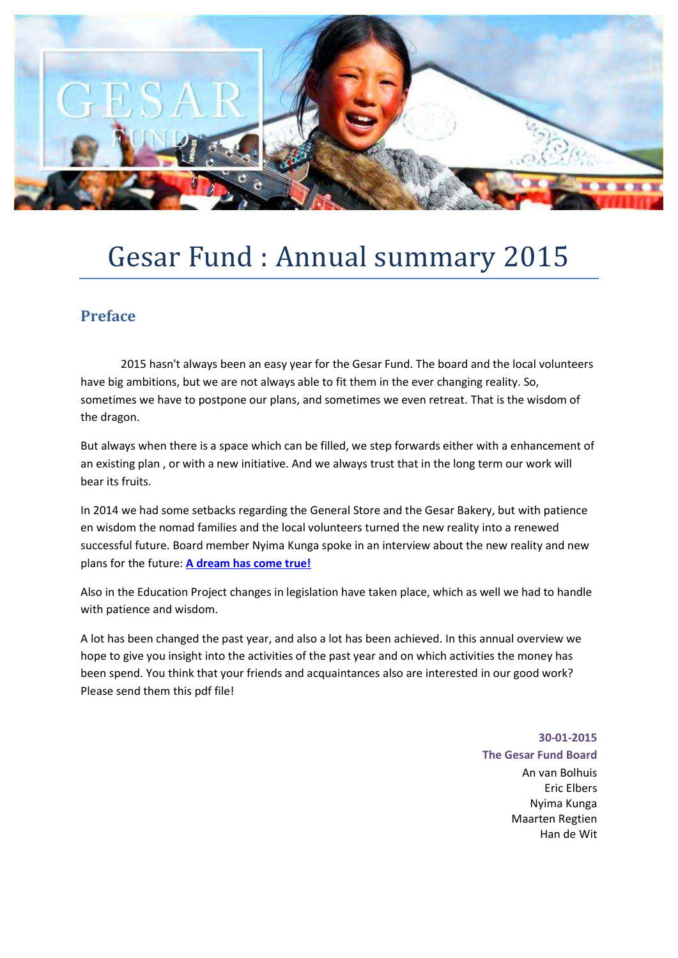

# Gesar Fund : Annual summary 2015

### **Preface**

 2015 hasn't always been an easy year for the Gesar Fund. The board and the local volunteers have big ambitions, but we are not always able to fit them in the ever changing reality. So, sometimes we have to postpone our plans, and sometimes we even retreat. That is the wisdom of the dragon.

But always when there is a space which can be filled, we step forwards either with a enhancement of an existing plan , or with a new initiative. And we always trust that in the long term our work will bear its fruits.

In 2014 we had some setbacks regarding the General Store and the Gesar Bakery, but with patience en wisdom the nomad families and the local volunteers turned the new reality into a renewed successful future. Board member Nyima Kunga spoke in an interview about the new reality and new plans for the future: **[A dream has come true!](http://shambhalatimes.org/2015/09/30/self-sufficiency-bears-fruit/)**

Also in the Education Project changes in legislation have taken place, which as well we had to handle with patience and wisdom.

A lot has been changed the past year, and also a lot has been achieved. In this annual overview we hope to give you insight into the activities of the past year and on which activities the money has been spend. You think that your friends and acquaintances also are interested in our good work? Please send them this pdf file!

**30-01-2015** 

**The Gesar Fund Board** An van Bolhuis Eric Elbers Nyima Kunga Maarten Regtien Han de Wit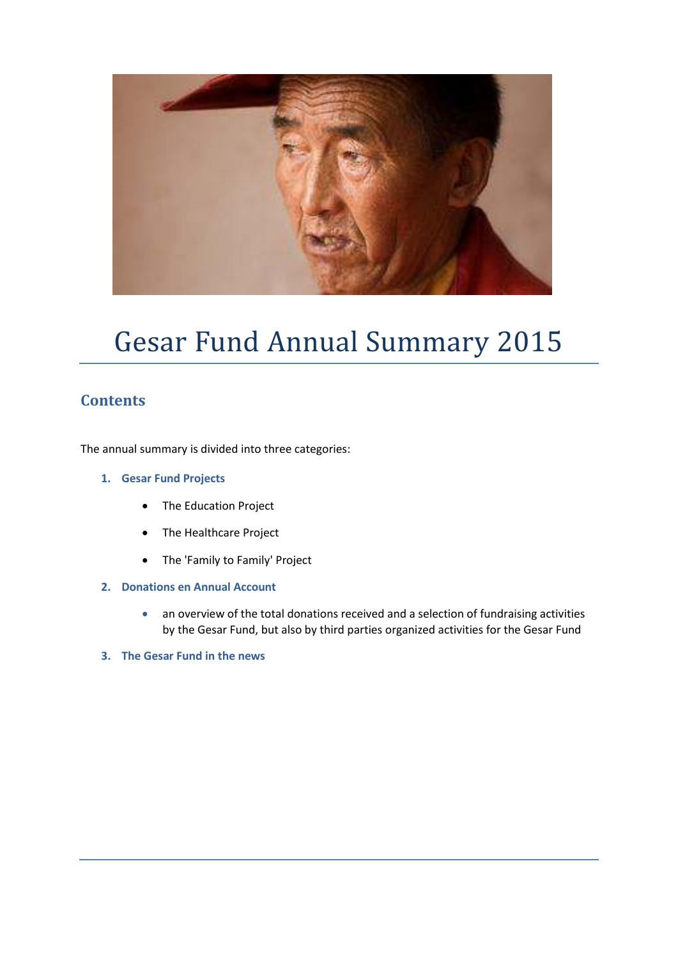

# Gesar Fund Annual Summary 2015

### **Contents**

The annual summary is divided into three categories:

- **1. Gesar Fund Projects** 
	- The Education Project
	- The Healthcare Project
	- The 'Family to Family' Project
- **2. Donations en Annual Account** 
	- an overview of the total donations received and a selection of fundraising activities by the Gesar Fund, but also by third parties organized activities for the Gesar Fund
- **3. The Gesar Fund in the news**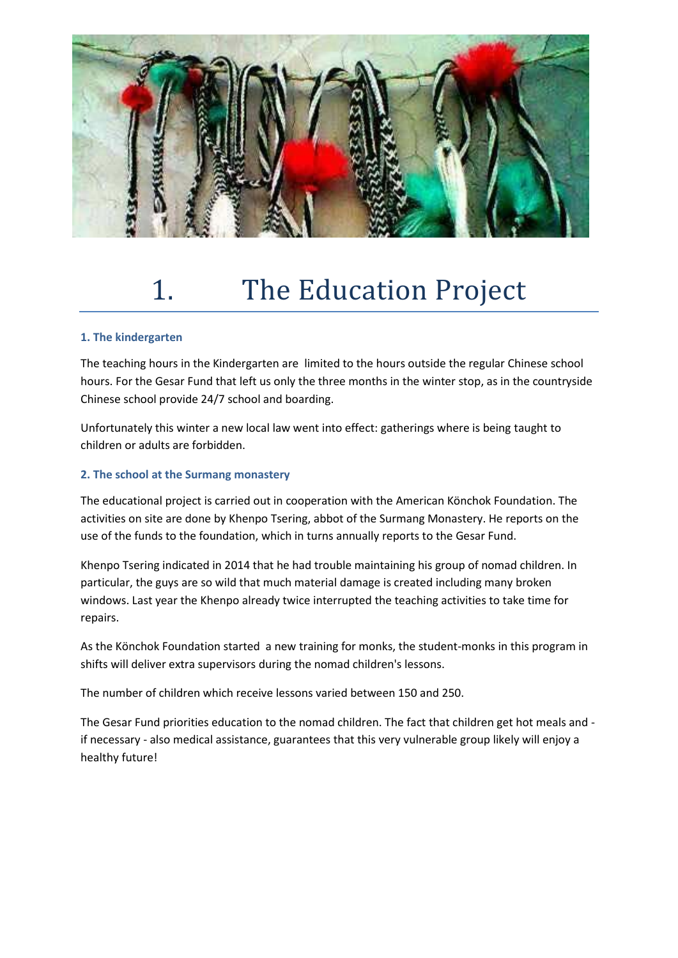

# 1. The Education Project

#### **1. The kindergarten**

The teaching hours in the Kindergarten are limited to the hours outside the regular Chinese school hours. For the Gesar Fund that left us only the three months in the winter stop, as in the countryside Chinese school provide 24/7 school and boarding.

Unfortunately this winter a new local law went into effect: gatherings where is being taught to children or adults are forbidden.

#### **2. The school at the Surmang monastery**

The educational project is carried out in cooperation with the American Könchok Foundation. The activities on site are done by Khenpo Tsering, abbot of the Surmang Monastery. He reports on the use of the funds to the foundation, which in turns annually reports to the Gesar Fund.

Khenpo Tsering indicated in 2014 that he had trouble maintaining his group of nomad children. In particular, the guys are so wild that much material damage is created including many broken windows. Last year the Khenpo already twice interrupted the teaching activities to take time for repairs.

As the Könchok Foundation started a new training for monks, the student-monks in this program in shifts will deliver extra supervisors during the nomad children's lessons.

The number of children which receive lessons varied between 150 and 250.

The Gesar Fund priorities education to the nomad children. The fact that children get hot meals and if necessary - also medical assistance, guarantees that this very vulnerable group likely will enjoy a healthy future!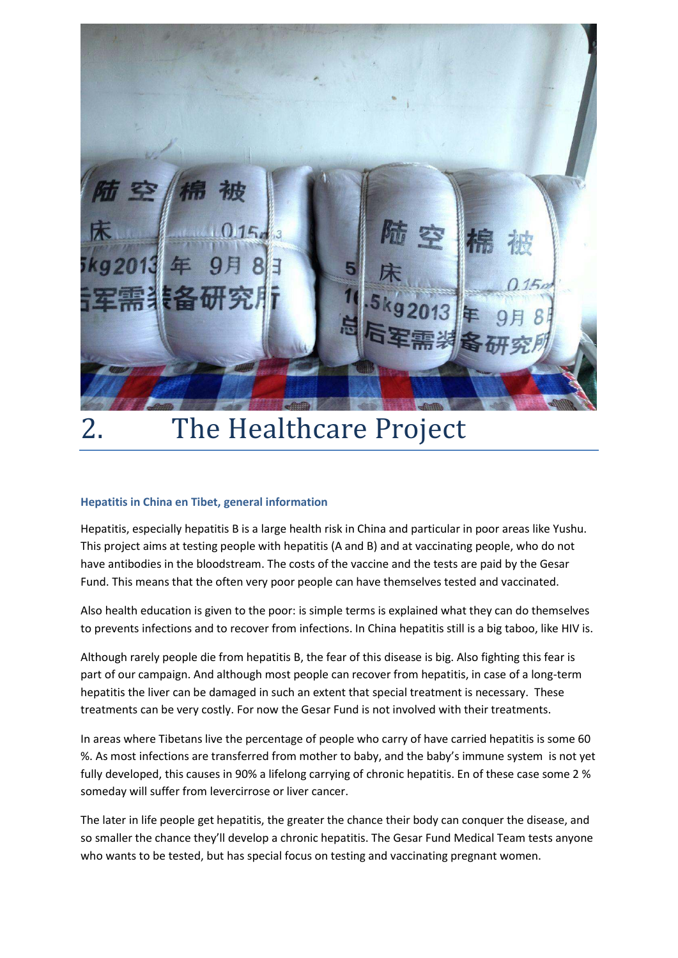

# 2. The Healthcare Project

#### **Hepatitis in China en Tibet, general information**

Hepatitis, especially hepatitis B is a large health risk in China and particular in poor areas like Yushu. This project aims at testing people with hepatitis (A and B) and at vaccinating people, who do not have antibodies in the bloodstream. The costs of the vaccine and the tests are paid by the Gesar Fund. This means that the often very poor people can have themselves tested and vaccinated.

Also health education is given to the poor: is simple terms is explained what they can do themselves to prevents infections and to recover from infections. In China hepatitis still is a big taboo, like HIV is.

Although rarely people die from hepatitis B, the fear of this disease is big. Also fighting this fear is part of our campaign. And although most people can recover from hepatitis, in case of a long-term hepatitis the liver can be damaged in such an extent that special treatment is necessary. These treatments can be very costly. For now the Gesar Fund is not involved with their treatments.

In areas where Tibetans live the percentage of people who carry of have carried hepatitis is some 60 %. As most infections are transferred from mother to baby, and the baby's immune system is not yet fully developed, this causes in 90% a lifelong carrying of chronic hepatitis. En of these case some 2 % someday will suffer from levercirrose or liver cancer.

The later in life people get hepatitis, the greater the chance their body can conquer the disease, and so smaller the chance they'll develop a chronic hepatitis. The Gesar Fund Medical Team tests anyone who wants to be tested, but has special focus on testing and vaccinating pregnant women.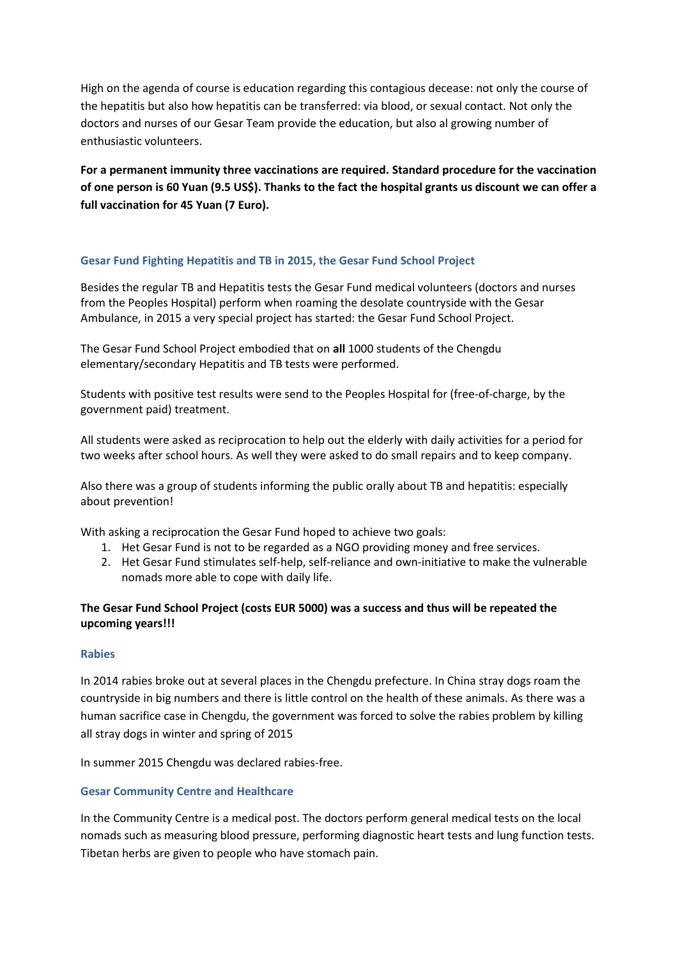High on the agenda of course is education regarding this contagious decease: not only the course of the hepatitis but also how hepatitis can be transferred: via blood, or sexual contact. Not only the doctors and nurses of our Gesar Team provide the education, but also al growing number of enthusiastic volunteers.

**For a permanent immunity three vaccinations are required. Standard procedure for the vaccination of one person is 60 Yuan (9.5 US\$). Thanks to the fact the hospital grants us discount we can offer a full vaccination for 45 Yuan (7 Euro).** 

#### **Gesar Fund Fighting Hepatitis and TB in 2015, the Gesar Fund School Project**

Besides the regular TB and Hepatitis tests the Gesar Fund medical volunteers (doctors and nurses from the Peoples Hospital) perform when roaming the desolate countryside with the Gesar Ambulance, in 2015 a very special project has started: the Gesar Fund School Project.

The Gesar Fund School Project embodied that on **all** 1000 students of the Chengdu elementary/secondary Hepatitis and TB tests were performed.

Students with positive test results were send to the Peoples Hospital for (free-of-charge, by the government paid) treatment.

All students were asked as reciprocation to help out the elderly with daily activities for a period for two weeks after school hours. As well they were asked to do small repairs and to keep company.

Also there was a group of students informing the public orally about TB and hepatitis: especially about prevention!

With asking a reciprocation the Gesar Fund hoped to achieve two goals:

- 1. Het Gesar Fund is not to be regarded as a NGO providing money and free services.
- 2. Het Gesar Fund stimulates self-help, self-reliance and own-initiative to make the vulnerable nomads more able to cope with daily life.

#### **The Gesar Fund School Project (costs EUR 5000) was a success and thus will be repeated the upcoming years!!!**

#### **Rabies**

In 2014 rabies broke out at several places in the Chengdu prefecture. In China stray dogs roam the countryside in big numbers and there is little control on the health of these animals. As there was a human sacrifice case in Chengdu, the government was forced to solve the rabies problem by killing all stray dogs in winter and spring of 2015

In summer 2015 Chengdu was declared rabies-free.

#### **Gesar Community Centre and Healthcare**

In the Community Centre is a medical post. The doctors perform general medical tests on the local nomads such as measuring blood pressure, performing diagnostic heart tests and lung function tests. Tibetan herbs are given to people who have stomach pain.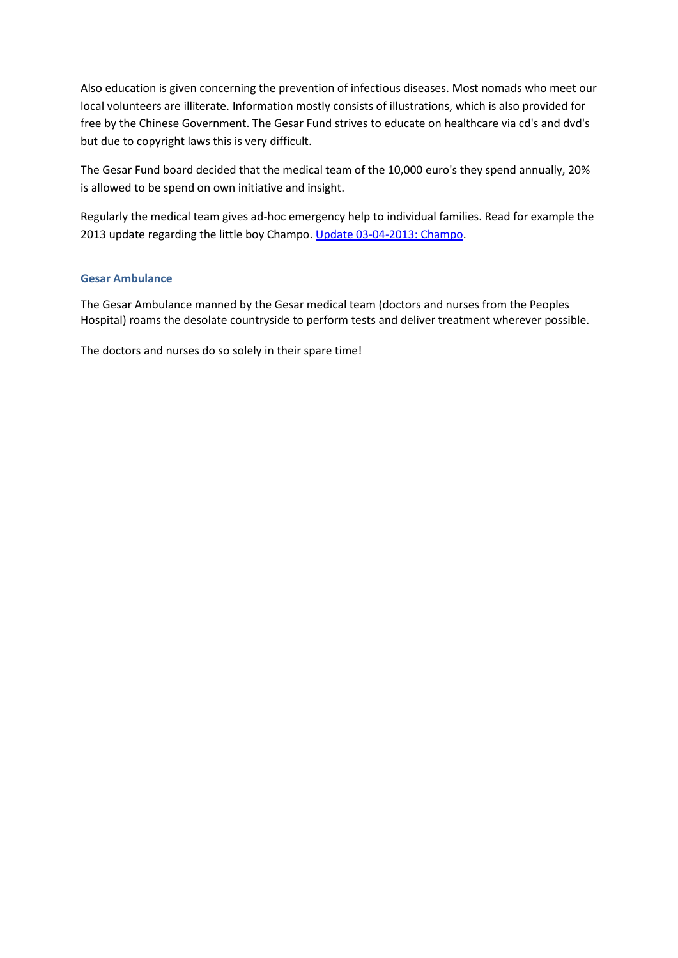Also education is given concerning the prevention of infectious diseases. Most nomads who meet our local volunteers are illiterate. Information mostly consists of illustrations, which is also provided for free by the Chinese Government. The Gesar Fund strives to educate on healthcare via cd's and dvd's but due to copyright laws this is very difficult.

The Gesar Fund board decided that the medical team of the 10,000 euro's they spend annually, 20% is allowed to be spend on own initiative and insight.

Regularly the medical team gives ad-hoc emergency help to individual families. Read for example the 2013 update regarding the little boy Champo. [Update 03-04-2013: Champo.](http://www.gesarfund.nl/page/829/news-archive-2013.html)

#### **Gesar Ambulance**

The Gesar Ambulance manned by the Gesar medical team (doctors and nurses from the Peoples Hospital) roams the desolate countryside to perform tests and deliver treatment wherever possible.

The doctors and nurses do so solely in their spare time!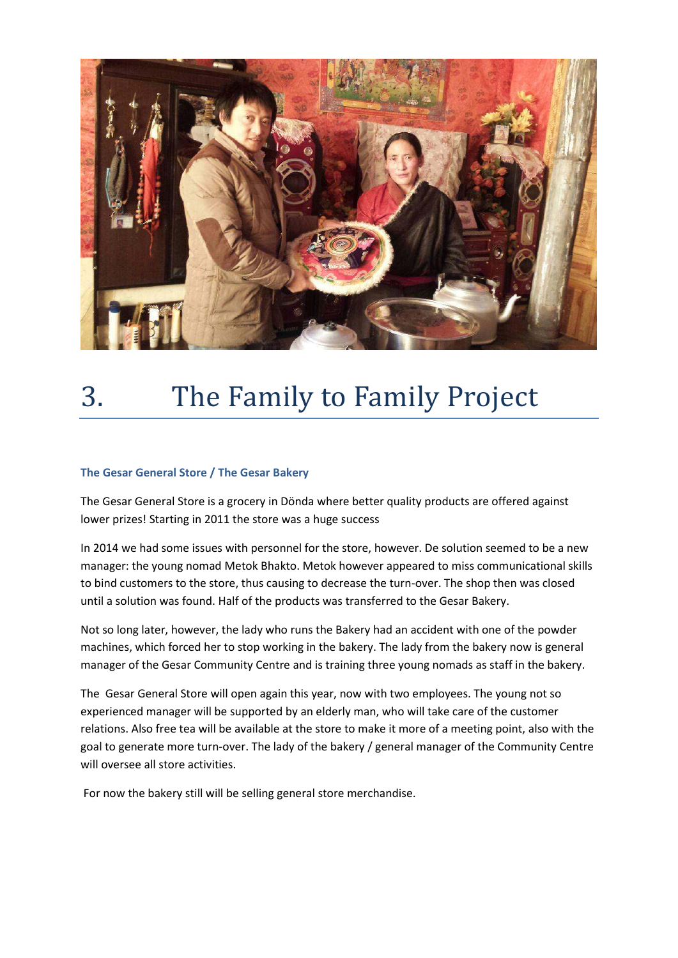

# 3. The Family to Family Project

#### **The Gesar General Store / The Gesar Bakery**

The Gesar General Store is a grocery in Dönda where better quality products are offered against lower prizes! Starting in 2011 the store was a huge success

In 2014 we had some issues with personnel for the store, however. De solution seemed to be a new manager: the young nomad Metok Bhakto. Metok however appeared to miss communicational skills to bind customers to the store, thus causing to decrease the turn-over. The shop then was closed until a solution was found. Half of the products was transferred to the Gesar Bakery.

Not so long later, however, the lady who runs the Bakery had an accident with one of the powder machines, which forced her to stop working in the bakery. The lady from the bakery now is general manager of the Gesar Community Centre and is training three young nomads as staff in the bakery.

The Gesar General Store will open again this year, now with two employees. The young not so experienced manager will be supported by an elderly man, who will take care of the customer relations. Also free tea will be available at the store to make it more of a meeting point, also with the goal to generate more turn-over. The lady of the bakery / general manager of the Community Centre will oversee all store activities.

For now the bakery still will be selling general store merchandise.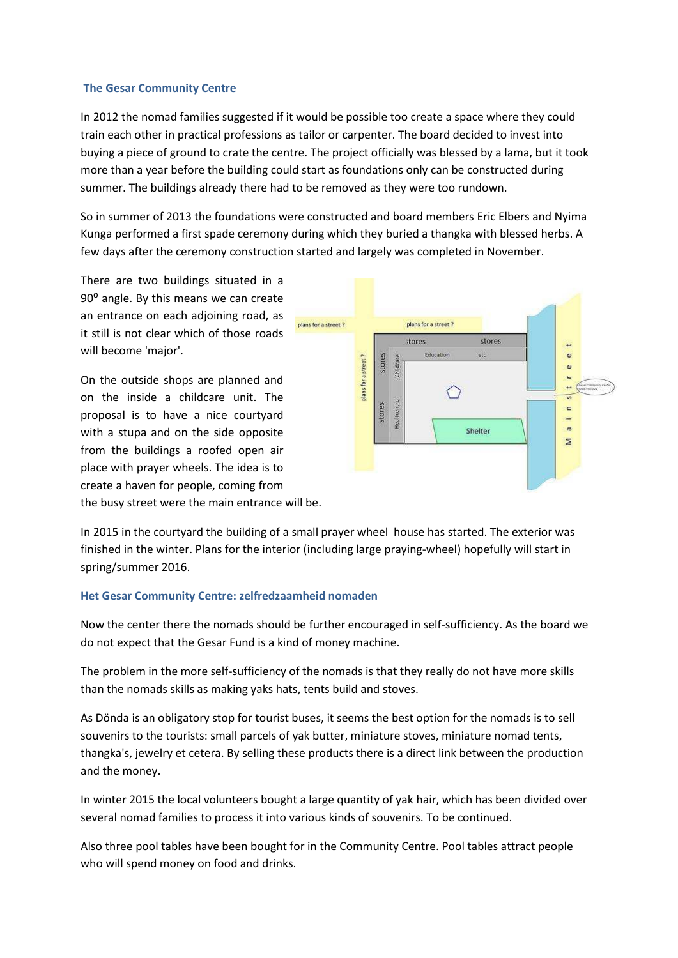#### **The Gesar Community Centre**

In 2012 the nomad families suggested if it would be possible too create a space where they could train each other in practical professions as tailor or carpenter. The board decided to invest into buying a piece of ground to crate the centre. The project officially was blessed by a lama, but it took more than a year before the building could start as foundations only can be constructed during summer. The buildings already there had to be removed as they were too rundown.

So in summer of 2013 the foundations were constructed and board members Eric Elbers and Nyima Kunga performed a first spade ceremony during which they buried a thangka with blessed herbs. A few days after the ceremony construction started and largely was completed in November.

There are two buildings situated in a 90<sup>°</sup> angle. By this means we can create an entrance on each adjoining road, as it still is not clear which of those roads will become 'major'.

On the outside shops are planned and on the inside a childcare unit. The proposal is to have a nice courtyard with a stupa and on the side opposite from the buildings a roofed open air place with prayer wheels. The idea is to create a haven for people, coming from the busy street were the main entrance will be.



In 2015 in the courtyard the building of a small prayer wheel house has started. The exterior was finished in the winter. Plans for the interior (including large praying-wheel) hopefully will start in spring/summer 2016.

#### **Het Gesar Community Centre: zelfredzaamheid nomaden**

Now the center there the nomads should be further encouraged in self-sufficiency. As the board we do not expect that the Gesar Fund is a kind of money machine.

The problem in the more self-sufficiency of the nomads is that they really do not have more skills than the nomads skills as making yaks hats, tents build and stoves.

As Dönda is an obligatory stop for tourist buses, it seems the best option for the nomads is to sell souvenirs to the tourists: small parcels of yak butter, miniature stoves, miniature nomad tents, thangka's, jewelry et cetera. By selling these products there is a direct link between the production and the money.

In winter 2015 the local volunteers bought a large quantity of yak hair, which has been divided over several nomad families to process it into various kinds of souvenirs. To be continued.

Also three pool tables have been bought for in the Community Centre. Pool tables attract people who will spend money on food and drinks.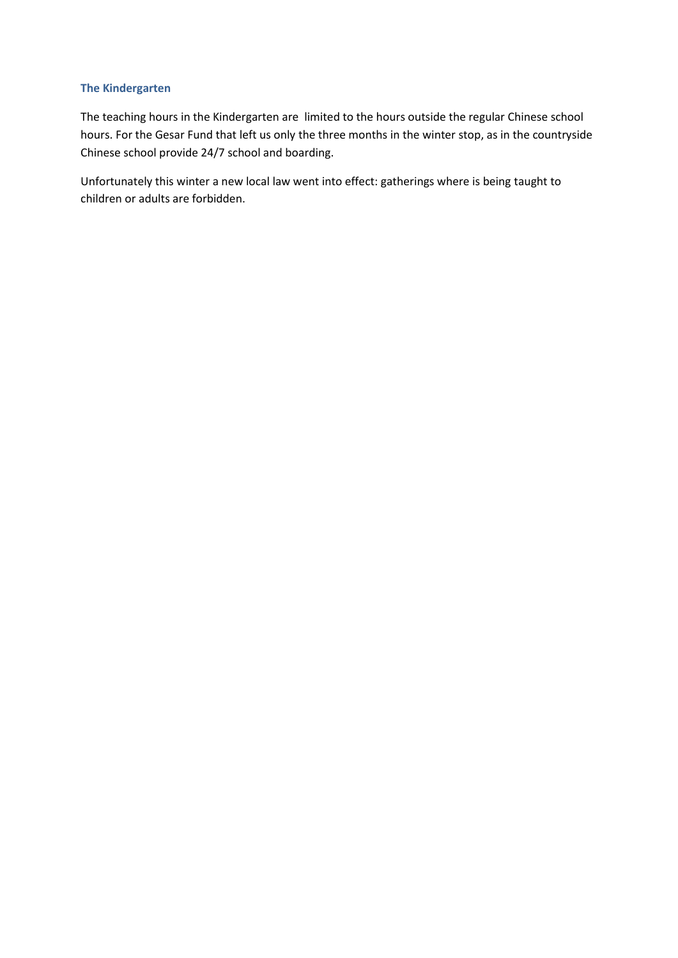#### **The Kindergarten**

The teaching hours in the Kindergarten are limited to the hours outside the regular Chinese school hours. For the Gesar Fund that left us only the three months in the winter stop, as in the countryside Chinese school provide 24/7 school and boarding.

Unfortunately this winter a new local law went into effect: gatherings where is being taught to children or adults are forbidden.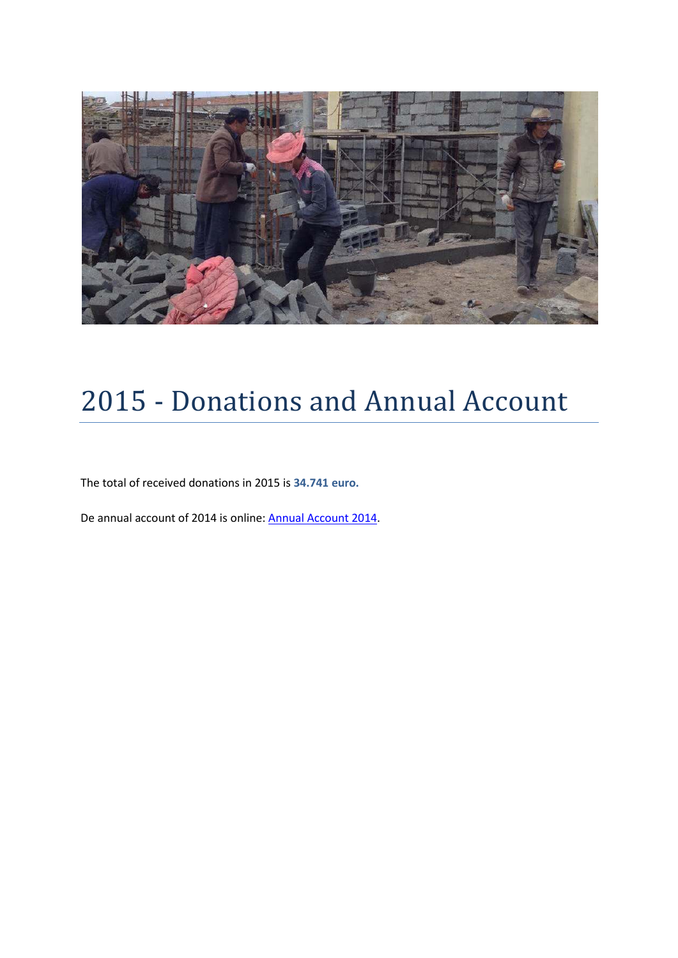

# 2015 - Donations and Annual Account

The total of received donations in 2015 is **34.741 euro.**

De annual account of 2014 is online[: Annual Account 2014.](http://www.gesarfund.nl/dynamic/media/13/media/Gesar%20Fund%20-%202014%20-%20Stichting%20Gesar%20Fund%20Jaarrekening%202014.pdf)